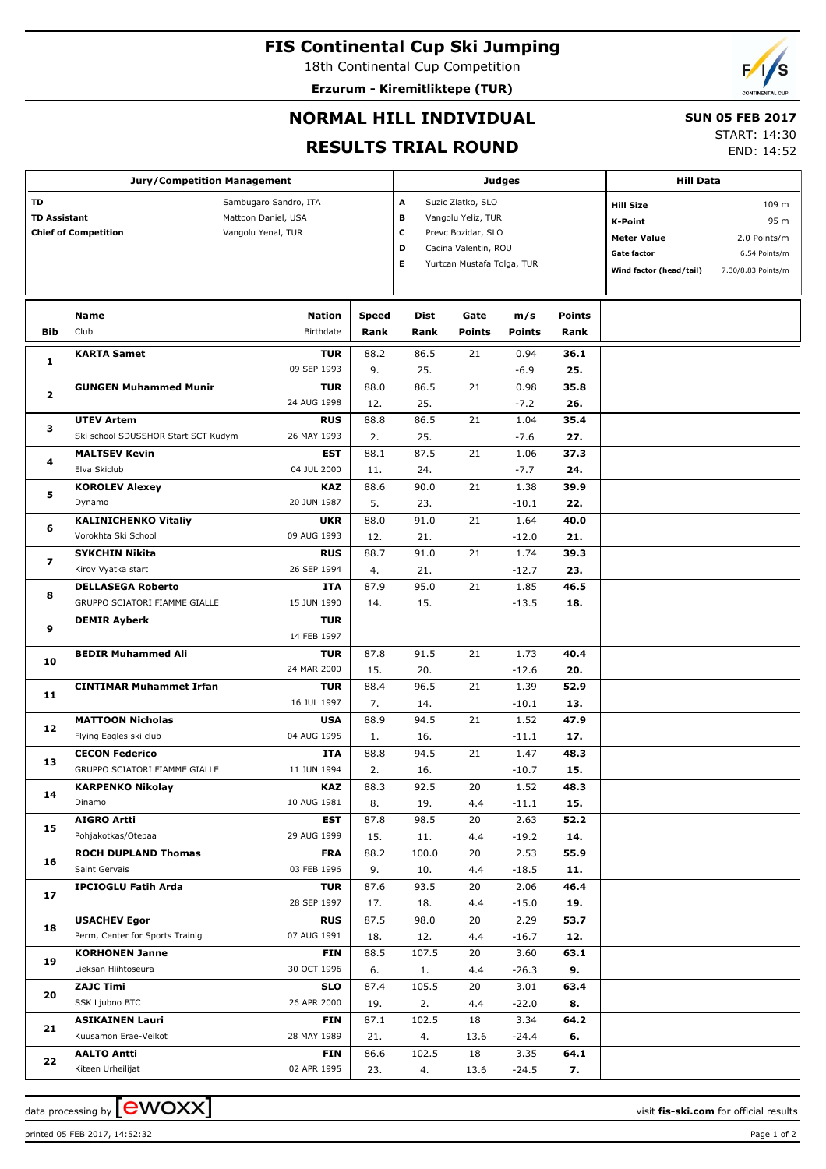# **FIS Continental Cup Ski Jumping**

18th Continental Cup Competition **Erzurum - Kiremitliktepe (TUR)**

## **NORMAL HILL INDIVIDUAL**

### **SUN 05 FEB 2017**

### **RESULTS TRIAL ROUND**

START: 14:30 END: 14:52

| <b>Jury/Competition Management</b>                                                                                                    |                                                        |                           |                                                                                                                                              |                       |                      | Judges          | <b>Hill Data</b>                                                                                   |                                                                      |  |
|---------------------------------------------------------------------------------------------------------------------------------------|--------------------------------------------------------|---------------------------|----------------------------------------------------------------------------------------------------------------------------------------------|-----------------------|----------------------|-----------------|----------------------------------------------------------------------------------------------------|----------------------------------------------------------------------|--|
| <b>TD</b><br>Sambugaro Sandro, ITA<br><b>TD Assistant</b><br>Mattoon Daniel, USA<br><b>Chief of Competition</b><br>Vangolu Yenal, TUR |                                                        |                           | Suzic Zlatko, SLO<br>А<br>в<br>Vangolu Yeliz, TUR<br>c<br>Prevc Bozidar, SLO<br>Cacina Valentin, ROU<br>D<br>Е<br>Yurtcan Mustafa Tolga, TUR |                       |                      |                 | <b>Hill Size</b><br><b>K-Point</b><br><b>Meter Value</b><br>Gate factor<br>Wind factor (head/tail) | 109 m<br>95 m<br>2.0 Points/m<br>6.54 Points/m<br>7.30/8.83 Points/m |  |
| Bib                                                                                                                                   | Name<br>Club                                           | Speed<br>Rank             | <b>Dist</b><br>Rank                                                                                                                          | Gate<br><b>Points</b> | m/s<br><b>Points</b> | Points<br>Rank  |                                                                                                    |                                                                      |  |
| 1                                                                                                                                     | <b>KARTA Samet</b>                                     | <b>TUR</b>                | 88.2                                                                                                                                         | 86.5                  | 21                   | 0.94            | 36.1                                                                                               |                                                                      |  |
|                                                                                                                                       |                                                        | 09 SEP 1993               | 9.                                                                                                                                           | 25.                   |                      | $-6.9$          | 25.                                                                                                |                                                                      |  |
| $\mathbf{z}$                                                                                                                          | <b>GUNGEN Muhammed Munir</b>                           | <b>TUR</b>                | 88.0                                                                                                                                         | 86.5                  | 21                   | 0.98            | 35.8                                                                                               |                                                                      |  |
|                                                                                                                                       | <b>UTEV Artem</b>                                      | 24 AUG 1998<br><b>RUS</b> | 12.<br>88.8                                                                                                                                  | 25.<br>86.5           | 21                   | $-7.2$<br>1.04  | 26.<br>35.4                                                                                        |                                                                      |  |
| з                                                                                                                                     | Ski school SDUSSHOR Start SCT Kudym                    | 26 MAY 1993               | 2.                                                                                                                                           | 25.                   |                      | $-7.6$          | 27.                                                                                                |                                                                      |  |
|                                                                                                                                       | <b>MALTSEV Kevin</b>                                   | <b>EST</b>                | 88.1                                                                                                                                         | 87.5                  | 21                   | 1.06            | 37.3                                                                                               |                                                                      |  |
| 4                                                                                                                                     | Elva Skiclub                                           | 04 JUL 2000               | 11.                                                                                                                                          | 24.                   |                      | $-7.7$          | 24.                                                                                                |                                                                      |  |
|                                                                                                                                       | <b>KOROLEV Alexey</b>                                  | <b>KAZ</b>                | 88.6                                                                                                                                         | 90.0                  | 21                   | 1.38            | 39.9                                                                                               |                                                                      |  |
| 5                                                                                                                                     | Dynamo                                                 | 20 JUN 1987               | 5.                                                                                                                                           | 23.                   |                      | $-10.1$         | 22.                                                                                                |                                                                      |  |
|                                                                                                                                       | <b>KALINICHENKO Vitaliy</b>                            | <b>UKR</b>                | 88.0                                                                                                                                         | 91.0                  | 21                   | 1.64            | 40.0                                                                                               |                                                                      |  |
| 6                                                                                                                                     | Vorokhta Ski School                                    | 09 AUG 1993               | 12.                                                                                                                                          | 21.                   |                      | $-12.0$         | 21.                                                                                                |                                                                      |  |
| 7                                                                                                                                     | <b>SYKCHIN Nikita</b>                                  | <b>RUS</b>                | 88.7                                                                                                                                         | 91.0                  | 21                   | 1.74            | 39.3                                                                                               |                                                                      |  |
|                                                                                                                                       | Kirov Vyatka start                                     | 26 SEP 1994               | 4.                                                                                                                                           | 21.                   |                      | $-12.7$         | 23.                                                                                                |                                                                      |  |
| 8                                                                                                                                     | <b>DELLASEGA Roberto</b>                               | <b>ITA</b>                | 87.9                                                                                                                                         | 95.0                  | 21                   | 1.85            | 46.5                                                                                               |                                                                      |  |
|                                                                                                                                       | GRUPPO SCIATORI FIAMME GIALLE                          | 15 JUN 1990               | 14.                                                                                                                                          | 15.                   |                      | $-13.5$         | 18.                                                                                                |                                                                      |  |
| 9                                                                                                                                     | <b>DEMIR Ayberk</b>                                    | <b>TUR</b>                |                                                                                                                                              |                       |                      |                 |                                                                                                    |                                                                      |  |
|                                                                                                                                       |                                                        | 14 FEB 1997               |                                                                                                                                              |                       |                      |                 |                                                                                                    |                                                                      |  |
| 10                                                                                                                                    | <b>BEDIR Muhammed Ali</b>                              | <b>TUR</b><br>24 MAR 2000 | 87.8                                                                                                                                         | 91.5                  | 21                   | 1.73            | 40.4<br>20.                                                                                        |                                                                      |  |
|                                                                                                                                       | <b>CINTIMAR Muhammet Irfan</b>                         | <b>TUR</b>                | 15.<br>88.4                                                                                                                                  | 20.<br>96.5           | 21                   | $-12.6$<br>1.39 | 52.9                                                                                               |                                                                      |  |
| 11                                                                                                                                    |                                                        | 16 JUL 1997               | 7.                                                                                                                                           | 14.                   |                      | $-10.1$         | 13.                                                                                                |                                                                      |  |
|                                                                                                                                       | <b>MATTOON Nicholas</b>                                | <b>USA</b>                | 88.9                                                                                                                                         | 94.5                  | 21                   | 1.52            | 47.9                                                                                               |                                                                      |  |
| 12                                                                                                                                    | Flying Eagles ski club                                 | 04 AUG 1995               | 1.                                                                                                                                           | 16.                   |                      | $-11.1$         | 17.                                                                                                |                                                                      |  |
|                                                                                                                                       | <b>CECON Federico</b>                                  | <b>ITA</b>                | 88.8                                                                                                                                         | 94.5                  | 21                   | 1.47            | 48.3                                                                                               |                                                                      |  |
| 13                                                                                                                                    | GRUPPO SCIATORI FIAMME GIALLE                          | 11 JUN 1994               | 2.                                                                                                                                           | 16.                   |                      | $-10.7$         | 15.                                                                                                |                                                                      |  |
|                                                                                                                                       | <b>KARPENKO Nikolay</b>                                | KAZ                       | 88.3                                                                                                                                         | 92.5                  | 20                   | 1.52            | 48.3                                                                                               |                                                                      |  |
| 14                                                                                                                                    | Dinamo                                                 | 10 AUG 1981               | 8.                                                                                                                                           | 19.                   | 4.4                  | $-11.1$         | 15.                                                                                                |                                                                      |  |
| 15                                                                                                                                    | <b>AIGRO Artti</b>                                     | <b>EST</b>                | 87.8                                                                                                                                         | 98.5                  | 20                   | 2.63            | 52.2                                                                                               |                                                                      |  |
|                                                                                                                                       | Pohjakotkas/Otepaa                                     | 29 AUG 1999               | 15.                                                                                                                                          | 11.                   | 4.4                  | $-19.2$         | 14.                                                                                                |                                                                      |  |
| 16                                                                                                                                    | <b>ROCH DUPLAND Thomas</b>                             | <b>FRA</b>                | 88.2                                                                                                                                         | 100.0                 | 20                   | 2.53            | 55.9                                                                                               |                                                                      |  |
|                                                                                                                                       | Saint Gervais                                          | 03 FEB 1996               | 9.                                                                                                                                           | 10.                   | 4.4                  | $-18.5$         | 11.                                                                                                |                                                                      |  |
| 17                                                                                                                                    | <b>IPCIOGLU Fatih Arda</b>                             | <b>TUR</b>                | 87.6                                                                                                                                         | 93.5                  | 20                   | 2.06            | 46.4                                                                                               |                                                                      |  |
|                                                                                                                                       |                                                        | 28 SEP 1997               | 17.                                                                                                                                          | 18.                   | 4.4                  | $-15.0$         | 19.                                                                                                |                                                                      |  |
| 18                                                                                                                                    | <b>USACHEV Egor</b><br>Perm, Center for Sports Trainig | <b>RUS</b><br>07 AUG 1991 | 87.5<br>18.                                                                                                                                  | 98.0<br>12.           | 20<br>4.4            | 2.29<br>$-16.7$ | 53.7<br>12.                                                                                        |                                                                      |  |
|                                                                                                                                       | <b>KORHONEN Janne</b>                                  | <b>FIN</b>                | 88.5                                                                                                                                         | 107.5                 | 20                   | 3.60            | 63.1                                                                                               |                                                                      |  |
| 19                                                                                                                                    | Lieksan Hiihtoseura                                    | 30 OCT 1996               | 6.                                                                                                                                           | 1.                    | 4.4                  | $-26.3$         | 9.                                                                                                 |                                                                      |  |
|                                                                                                                                       | <b>ZAJC Timi</b>                                       | <b>SLO</b>                | 87.4                                                                                                                                         | 105.5                 | 20                   | 3.01            | 63.4                                                                                               |                                                                      |  |
| 20                                                                                                                                    | SSK Ljubno BTC                                         | 26 APR 2000               | 19.                                                                                                                                          | 2.                    | 4.4                  | $-22.0$         | 8.                                                                                                 |                                                                      |  |
|                                                                                                                                       | <b>ASIKAINEN Lauri</b>                                 | <b>FIN</b>                | 87.1                                                                                                                                         | 102.5                 | 18                   | 3.34            | 64.2                                                                                               |                                                                      |  |
| 21                                                                                                                                    | Kuusamon Erae-Veikot                                   | 28 MAY 1989               | 21.                                                                                                                                          | 4.                    | 13.6                 | $-24.4$         | 6.                                                                                                 |                                                                      |  |
|                                                                                                                                       | <b>AALTO Antti</b>                                     | <b>FIN</b>                | 86.6                                                                                                                                         | 102.5                 | 18                   | 3.35            | 64.1                                                                                               |                                                                      |  |
| 22                                                                                                                                    | Kiteen Urheilijat                                      | 02 APR 1995               | 23.                                                                                                                                          | 4.                    | 13.6                 | $-24.5$         | 7.                                                                                                 |                                                                      |  |

printed 05 FEB 2017, 14:52:32 Page 1 of 2

data processing by **CWOXX**  $\blacksquare$